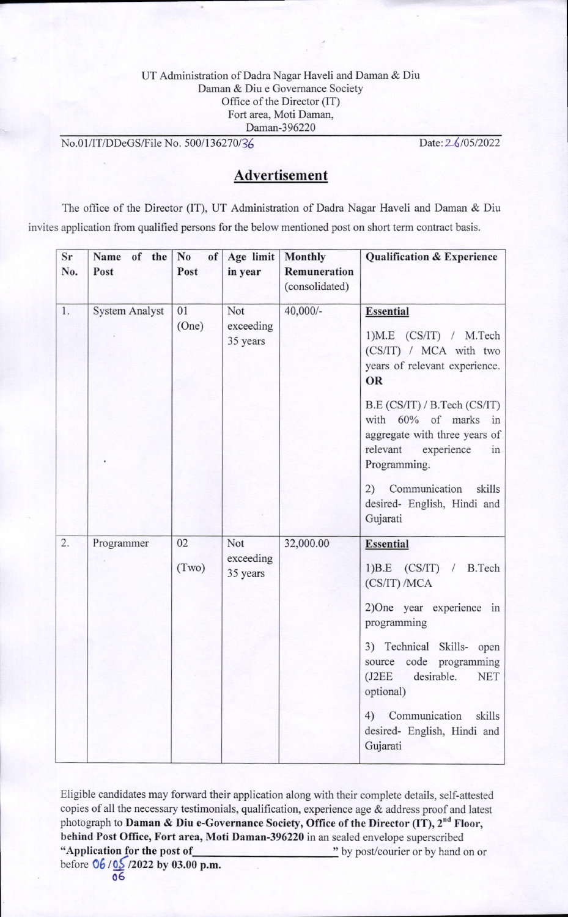#### UT Administration of Dadra Nagar Haveli and Daman & Diu Daman & Diu e Govemance Society Office of the Director (IT) Fort area, Moti Daman, Daman-396220

No.01/IT/DDeGS/File No. 500/136270/36

Date: 26/05/2022

# Advertisement

The office of the Director (IT), UT Administration of Dadra Nagar Haveli and Daman & Diu invites application from qualified persons for the below mentioned post on short term contract basis.

| Sr  | of the No<br>Name     | of    | Age limit             | Monthly        | <b>Qualification &amp; Experience</b>                                                                                                                                                                                                                                                                        |
|-----|-----------------------|-------|-----------------------|----------------|--------------------------------------------------------------------------------------------------------------------------------------------------------------------------------------------------------------------------------------------------------------------------------------------------------------|
| No. | Post                  | Post  | in year               | Remuneration   |                                                                                                                                                                                                                                                                                                              |
|     |                       |       |                       | (consolidated) |                                                                                                                                                                                                                                                                                                              |
| 1.  | <b>System Analyst</b> | 01    | Not                   | 40,000/-       | <b>Essential</b>                                                                                                                                                                                                                                                                                             |
|     |                       | (One) | exceeding<br>35 years |                | $1)$ M.E $(CS/IT) / M. Tech$<br>(CS/IT) / MCA with two<br>years of relevant experience.<br>OR<br>B.E (CS/IT) / B.Tech (CS/IT)<br>with 60% of marks in<br>aggregate with three years of<br>relevant experience<br>in<br>Programming.<br>2) Communication<br>skills<br>desired- English, Hindi and<br>Gujarati |
| 2.  | Programmer            | 02    | Not                   | 32,000.00      | <b>Essential</b>                                                                                                                                                                                                                                                                                             |
|     |                       | (Two) | exceeding<br>35 years |                | 1) $B.E$ (CS/IT) / B.Tech<br>(CS/IT) / MCA                                                                                                                                                                                                                                                                   |
|     |                       |       |                       |                | 2)One year experience in<br>programming                                                                                                                                                                                                                                                                      |
|     |                       |       |                       |                | Skills- open<br>3) Technical<br>source code programming<br><b>NET</b><br>(J2EE)<br>desirable.<br>optional)                                                                                                                                                                                                   |
|     |                       |       |                       |                | Communication<br>skills<br>4)<br>desired- English, Hindi and<br>Gujarati                                                                                                                                                                                                                                     |

Eligible candidates may forward their application along with their complete details, self-attested copies of all the necessary testimonials, qualification, experience age  $\&$  address proof and latest photograph to Daman & Diu e-Governance Society, Office of the Director (IT), 2<sup>nd</sup> Floor, behind Post Office, Fort area, Moti Daman-396220 in an sealed envelope superscribed "Application for the po st of before 06/05/2022 by 03.00 p.m. " by post/courier or by hand on or

06